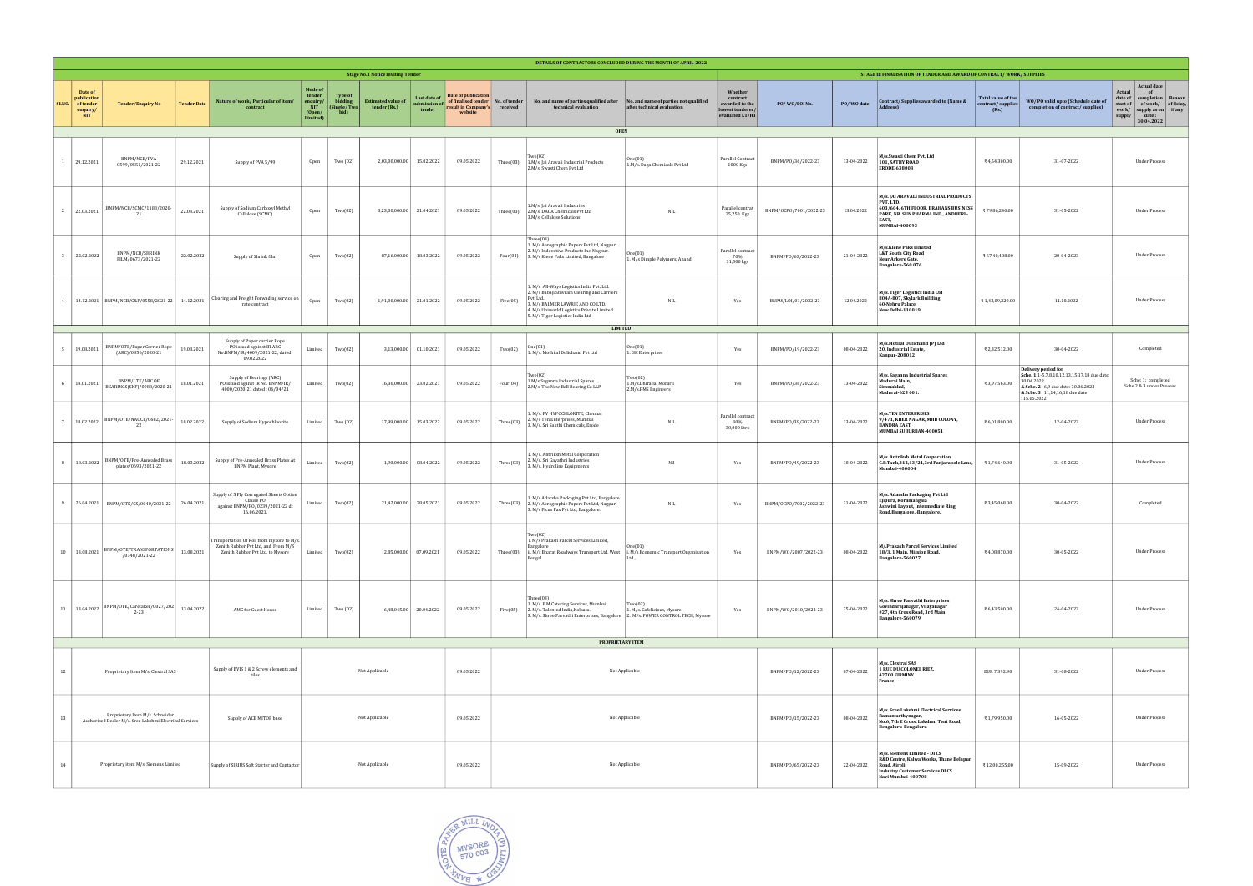| DETAILS OF CONTRACTORS CONCLUDED DURING THE MONTH OF APRIL-2022 |                                                               |                                                                                                        |                                                                                                       |                                                                                                                       |                                                                   |                                                   |                                           |                                        |                                                                                                    |                |                                                                                                                                                                                                                                              |                                                                      |                                                                              |                        |                                                                                                                                                        |                                                                                                                                                             |                                                  |                                                                                                                                                                           |                                                                                                                                                                         |
|-----------------------------------------------------------------|---------------------------------------------------------------|--------------------------------------------------------------------------------------------------------|-------------------------------------------------------------------------------------------------------|-----------------------------------------------------------------------------------------------------------------------|-------------------------------------------------------------------|---------------------------------------------------|-------------------------------------------|----------------------------------------|----------------------------------------------------------------------------------------------------|----------------|----------------------------------------------------------------------------------------------------------------------------------------------------------------------------------------------------------------------------------------------|----------------------------------------------------------------------|------------------------------------------------------------------------------|------------------------|--------------------------------------------------------------------------------------------------------------------------------------------------------|-------------------------------------------------------------------------------------------------------------------------------------------------------------|--------------------------------------------------|---------------------------------------------------------------------------------------------------------------------------------------------------------------------------|-------------------------------------------------------------------------------------------------------------------------------------------------------------------------|
|                                                                 |                                                               | <b>Stage No.1 Notice Inviting Tender</b>                                                               |                                                                                                       |                                                                                                                       |                                                                   |                                                   |                                           |                                        |                                                                                                    |                |                                                                                                                                                                                                                                              | STAGE II: FINALISATION OF TENDER AND AWARD OF CONTRACT/WORK/SUPPLIES |                                                                              |                        |                                                                                                                                                        |                                                                                                                                                             |                                                  |                                                                                                                                                                           |                                                                                                                                                                         |
| <b>SLNO.</b>                                                    | Date of<br>publication<br>of tender<br>enquiry/<br><b>NIT</b> | <b>Tender/Enquiry No</b>                                                                               | <b>Tender Date</b>                                                                                    | Nature of work/ Particular of item/<br>contract                                                                       | <b>Mode of</b><br>tender<br>enquiry/<br>NIT<br>(Open/<br>Limited) | <b>Type of</b><br>bidding<br>(Single/Two)<br>bid) | <b>Estimated value of</b><br>tender (Rs.) | Last date of<br>submission o<br>tender | <b>Date of publication</b><br>of finalised tender   No. of tender<br>esult in Company's<br>website | received       | No. and name of parties qualified after<br>technical evaluation<br><b>OPEN</b>                                                                                                                                                               | No. and name of parties not qualified<br>after technical evaluation  | Whether<br>contract<br>awarded to the<br>lowest tenderer/<br>evaluated L1/H1 | PO/WO/LOINo.           | PO/WO date                                                                                                                                             | Contract/Supplies awarded to (Name &<br>Address)                                                                                                            | Total value of the<br>contract/supplies<br>(Rs.) | WO/PO valid upto (Schedule date of<br>completion of contract/supplies)                                                                                                    | <b>Actual date</b><br>Actual<br>of<br>date of<br>completion   Reason<br>of work/ of delay,<br>start of<br>work/<br>supply as on if any<br>supply<br>date:<br>30.04.2022 |
|                                                                 | 29.12.2021                                                    | BNPM/NCB/PVA<br>0599/0551/2021-22                                                                      | 29.12.2021                                                                                            | Supply of PVA 5/99                                                                                                    | Open                                                              | Two (02)                                          | 2,03,00,000.00                            | 15.02.2022                             | 09.05.2022                                                                                         | Three(03)      | `wo(02`<br>1.M/s. Jai Aravali Industrial Products<br>2.M/s. Swasti Chem Pvt Ltd                                                                                                                                                              | One(01)<br>1.M/s. Daga Chemicals Pvt Ltd                             | Parallel Contract<br>1000 Kgs                                                | BNPM/PO/36/2022-23     | 13-04-2022                                                                                                                                             | M/s.Swasti Chem Pvt. Ltd<br>101, SATHY ROAD<br><b>ERODE-638003</b>                                                                                          | ₹4,54,300.00                                     | 31-07-2022                                                                                                                                                                | <b>Under Process</b>                                                                                                                                                    |
|                                                                 | 2 22.03.2021                                                  | BNPM/NCB/SCMC/1188/2020-<br>21                                                                         | 22.03.2021                                                                                            | Supply of Sodium Carboxyl Methyl<br>Cellulose (SCMC)                                                                  | Open                                                              | Two(02)                                           | 3,23,00,000.00                            | 21.04.2021                             | 09.05.2022                                                                                         | Three(03)      | 1.M/s. Jai Aravali Industries<br>2.M/s. DAGA Chemicals Pvt Ltd<br>3.M/s. Cellulose Solutions                                                                                                                                                 | $\rm NIL$                                                            | Parallel contrat<br>35,250 Kgs                                               | BNPM/OCPO/7001/2022-23 | 13.04.2022                                                                                                                                             | M/s. JAI ARAVALI INDUSTRIAL PRODUCTS<br>PVT. LTD.<br>603/604, 6TH FLOOR, BRAHANS BUSINESS<br>PARK, NR. SUN PHARMA IND., ANDHERI -<br>EAST.<br>MUMBAI-400093 | ₹79,86,240.00                                    | 31-05-2022                                                                                                                                                                | <b>Under Process</b>                                                                                                                                                    |
|                                                                 | 3 22.02.2022                                                  | BNPM/NCB/SHRINK<br>FILM/0673/2021-22                                                                   | 22.02.2022                                                                                            | Supply of Shrink film                                                                                                 | Open                                                              | Two(02)                                           | 87,16,000.00                              | 18.03.2022                             | 09.05.2022                                                                                         | Four(04)       | Three(03)<br>1. M/s Aerographic Papers Pvt Ltd, Nagpur<br>M/s Indovative Products Inc, Nagpur.<br>3. M/s Klene Paks Limited, Bangalore                                                                                                       | One(01)<br>1. M/s Dimple Polymers, Anand.                            | Parallel contract<br>70%<br>31,500 kgs                                       | BNPM/PO/63/2022-23     | 21-04-2022                                                                                                                                             | M/s.Klene Paks Limited<br><b>L&amp;T South City Road</b><br>Near Arkere Gate,<br>Bangalore-560 076                                                          | ₹67,40,408.00                                    | 20-04-2023                                                                                                                                                                | <b>Under Process</b>                                                                                                                                                    |
| $\overline{4}$                                                  |                                                               | 14.12.2021   BNPM/NCB/C&F/0558/2021-22                                                                 | 14.12.2021                                                                                            | Clearing and Freight Forwading service on<br>rate contract                                                            | Open                                                              | Two(02)                                           | 1,91,00,000.00                            | 21.01.2022                             | 09.05.2022                                                                                         | Five(05)       | 1. M/s All-Ways Logistics India Pvt. Ltd.<br>2. M/s Babaji Shivram Clearing and Carriers<br>Pvt. Ltd.<br>3. M/s BALMER LAWRIE AND CO LTD.<br>4. M/s Uniworld Logistics Private Limited<br>5. M/s Tiger Logistics India Ltd<br><b>LIMITED</b> | <b>NIL</b>                                                           | Yes                                                                          | BNPM/L0I/01/2022-23    | 12.04.2022                                                                                                                                             | M/s. Tiger Logistics India Ltd<br>804A-807, Skylark Building<br>60-Nehru Palace,<br>New Delhi-110019                                                        | ₹1,42,09,229.00                                  | 11.10.2022                                                                                                                                                                | <b>Under Process</b>                                                                                                                                                    |
| - 5                                                             | 19.08.2021                                                    | BNPM/OTE/Paper Carrier Rope<br>(ARC)/0356/2020-21                                                      | 19.08.2021                                                                                            | Supply of Paper carrier Rope<br>PO issued against IR ARC<br>No.BNPM/IR/4009/2021-22, dated:<br>09.02.2022             | Limited                                                           | Two(02)                                           | 3,13,000.00                               | 01.10.2021                             | 09.05.2022                                                                                         | Two(02)        | 1. M/s. Mothilal Dulichand Pvt Ltd                                                                                                                                                                                                           | One(01)<br>1. SK Enterprises                                         | Yes                                                                          | BNPM/P0/19/2022-23     | 08-04-2022                                                                                                                                             | M/s.Motilal Dulichand (P) Ltd<br>20, Industrial Estate,<br>Kanpur-208012                                                                                    | ₹2,32,512.00                                     | 30-04-2022                                                                                                                                                                | Completed                                                                                                                                                               |
| - 6                                                             | 18.01.2021                                                    | BNPM/LTE/ARC OF<br>BEARINGS(SKF)/0988/2020-21                                                          | 18.01.2021                                                                                            | Supply of Bearings (ARC)<br>PO issued aganst IR No. BNPM/IR/<br>4000/2020-21 dated: 06/04/21                          | Limited                                                           | Two(02)                                           | 16,30,000.00                              | 23.02.2021                             | 09.05.2022                                                                                         | Four(04)       | Two(02)<br>1.M/s.Saganna Industrial Spares<br>2.M/s. The New Ball Bearing Co LLP                                                                                                                                                             | Two(02)<br>1.M/s.Dhirajlal Morarji<br>2.M/s.PMS Engineers            | Yes                                                                          | BNPM/P0/38/2022-23     | 13-04-2022                                                                                                                                             | M/s. Saganna Industrial Spares<br>Madurai Main,<br>Simmakkal.<br>Madurai-625 001.                                                                           | ₹3,97,563.00                                     | Delivery period for<br>Sche. 1:1-5,7,8,10,12,13,15,17,18 due date:<br>30.04.2022<br>& Sche. 2:6,9 due date: 30.06.2022<br>& Sche. 3: 11,14,16,18 due date<br>: 15.05.2022 | Sche: 1: completed<br>Sche.2 & 3 under Process                                                                                                                          |
| $7\phantom{.0}$                                                 | 18.02.2022                                                    | BNPM/OTE/NAOCL/0682/2021<br>22                                                                         | 18.02.2022                                                                                            | Supply of Sodium Hypochloorite                                                                                        | Limited                                                           | Two (02)                                          | 17,99,000.00                              | 15.03.2022                             | 09.05.2022                                                                                         | Three(03)      | 1. M/s. PV HYPOCHLORITE, Chennai<br>2. M/s Ten Enterprises, Mumbai<br>3. M/s. Sri Sakthi Chemicals, Erode                                                                                                                                    | NIL                                                                  | Parallel contract<br>30%<br>30,000 Ltrs                                      | BNPM/P0/39/2022-23     | 13-04-2022                                                                                                                                             | <b>M/s.TEN ENTERPRISES</b><br>9/471, KHER NAGAR, MHB COLONY,<br><b>BANDRA EAST</b><br>MUMBAI SUBURBAN-400051                                                | ₹6,01,800.00                                     | 12-04-2023                                                                                                                                                                | <b>Under Process</b>                                                                                                                                                    |
| 8                                                               |                                                               | $18.03.2022\,$ BNPM/OTE/Pre-Annealed Brass<br>plates/0693/2021-22                                      | 18.03.2022                                                                                            | Supply of Pre-Annealed Brass Plates At<br><b>BNPM Plant, Mysore</b>                                                   | Limited                                                           | Two(02)                                           |                                           | 1,90,000.00 08.04.2022                 | 09.05.2022                                                                                         | Three(03)      | 1. M/s. Antriksh Metal Corporation<br>2. M/s. Sri Gayathri Industries<br>3. M/s. Hydroline Equipments                                                                                                                                        | Nil                                                                  | Yes                                                                          | BNPM/P0/49/2022-23     | 18-04-2022                                                                                                                                             | M/s. Antriksh Metal Corporation<br>$ C.P.Tank, 312, 13/21, 3rd$ Panjarapole Lane,-<br>Mumbai-400004                                                         | ₹1,74,640.00                                     | 31-05-2022                                                                                                                                                                | <b>Under Process</b>                                                                                                                                                    |
|                                                                 |                                                               | 9 26.04.2021   BNPM/OTE/CS/0040/2021-22   26.04.2021                                                   |                                                                                                       | Supply of 5 Ply Corrugated Sheets Option<br>Clause PO<br>against BNPM/P0/0239/2021-22 dt<br>16.06.2021.               | Limited                                                           | Two(02)                                           |                                           | 21,42,000.00 28.05.2021                | 09.05.2022                                                                                         | Three(03)      | 1. M/s Adarsha Packaging Pvt Ltd, Bangalore<br>2. M/s Aerographic Papers Pvt Ltd, Nagpur.<br>3. M/s Ficus Pax Pvt Ltd, Bangalore.                                                                                                            | NIL                                                                  | Yes                                                                          | BNPM/OCPO/7002/2022-23 | 21-04-2022                                                                                                                                             | M/s. Adarsha Packaging Pvt Ltd<br>Ejipura, Koramangala<br>Ashwini Layout, Intermediate Ring<br>Road, Bangalore.-Bangalore.                                  | ₹3,45,068.00                                     | 30-04-2022                                                                                                                                                                | Completed                                                                                                                                                               |
|                                                                 |                                                               | 10   13.08.2021   BNPM/OTE/TRANSPORTATIONS<br>/0348/2021-22                                            | 13.08.2021                                                                                            | Transportation Of Roll from mysore to M/s.<br>Zenith Rubber Pvt Ltd, and From M/S<br>Zenith Rubber Pvt Ltd, to Mysore | Limited                                                           | Two(02)                                           |                                           | 2,85,000.00 07.09.2021                 | 09.05.2022                                                                                         | Three(03)      | Two(02)<br>i. M/s Prakash Parcel Services Limited,<br>3angalore<br>ii. M/s Bharat Roadways Transport Ltd, West   i. M/s Economic Transport Organisation<br>Bengal                                                                            | One(01)                                                              | Yes                                                                          | BNPM/W0/2007/2022-23   | 08-04-2022                                                                                                                                             | M/.Prakash Parcel Services Limited<br>18/3, 1 Main, Mission Road,<br>Bangalore-560027                                                                       | ₹4,08,870.00                                     | 30-05-2022                                                                                                                                                                | Under Process                                                                                                                                                           |
|                                                                 |                                                               | 11   13.04.2022   BNPM/OTE/Caretaker/0027/202<br>$2 - 23$                                              | 13.04.2022                                                                                            | AMC for Guest House                                                                                                   | Limited                                                           | Two (02)                                          |                                           | 6,48,045.00 20.04.2022                 | 09.05.2022                                                                                         | Five(05)       | Three(03)<br>1. M/s. P M Catering Services, Mumbai.<br>2. M/s. Talented India, Kolkata.<br>3. M/s. Shree Parvathi Enterprises, Bangalore 2. M/s. POWER CONTROL TECH, Mysore                                                                  | Two(02)<br>1. M/s. Cafelicious, Mysore                               | Yes                                                                          | BNPM/W0/2010/2022-23   | 25-04-2022                                                                                                                                             | M/s. Shree Parvathi Enterprises<br>Govindarajanagar, Vijayanagar<br>#27, 4th Cross Road, 3rd Main<br>Bangalore-560079                                       | ₹6,43,500.00                                     | 24-04-2023                                                                                                                                                                | <b>Under Process</b>                                                                                                                                                    |
|                                                                 |                                                               |                                                                                                        |                                                                                                       |                                                                                                                       |                                                                   |                                                   |                                           |                                        |                                                                                                    |                | PROPRIETARY ITEM                                                                                                                                                                                                                             |                                                                      |                                                                              |                        |                                                                                                                                                        |                                                                                                                                                             |                                                  |                                                                                                                                                                           |                                                                                                                                                                         |
| 12                                                              |                                                               | Proprietary Item M/s. Clextral SAS                                                                     |                                                                                                       | Supply of BVIS 1 & 2 Screw elements and<br>tiles                                                                      |                                                                   |                                                   | Not Applicable                            |                                        | 09.05.2022                                                                                         |                |                                                                                                                                                                                                                                              | Not Applicable                                                       |                                                                              | BNPM/PO/12/2022-23     | 07-04-2022                                                                                                                                             | M/s. Clextral SAS<br>1 RUE DU COLONEL RIEZ,<br>42700 FIRMINY<br>France                                                                                      | EUR 7,392.90                                     | 31-08-2022                                                                                                                                                                | <b>Under Process</b>                                                                                                                                                    |
| 13                                                              |                                                               | Proprietary Item M/s. Schneider                                                                        | Not Applicable<br>Supply of ACB MITOP base<br>Authorised Dealer M/s. Sree Lakshmi Electrical Services |                                                                                                                       |                                                                   |                                                   |                                           |                                        | 09.05.2022                                                                                         | Not Applicable |                                                                                                                                                                                                                                              |                                                                      |                                                                              | BNPM/PO/15/2022-23     | 08-04-2022                                                                                                                                             | M/s. Sree Lakshmi Electrical Services<br>Ramamurthynagar,<br>No.6, 7th E Cross, Lakshmi Tent Road,<br>Bengaluru-Bengaluru                                   | ₹1,79,950.00                                     | 16-05-2022                                                                                                                                                                | <b>Under Process</b>                                                                                                                                                    |
| 14                                                              |                                                               | Proprietary item M/s. Siemens Limited<br>Not Applicable<br>Supply of SIRIUS Soft Starter and Contactor |                                                                                                       |                                                                                                                       |                                                                   |                                                   |                                           | 09.05.2022                             | Not Applicable                                                                                     |                |                                                                                                                                                                                                                                              |                                                                      | BNPM/PO/65/2022-23                                                           | 22-04-2022             | M/s. Siemens Limited - DI CS<br>R&D Centre, Kalwa Works, Thane Belapur<br>Road, Airoli<br><b>Industry Customer Services DICS</b><br>Navi Mumbai-400708 | ₹12,00,255.00                                                                                                                                               | 15-09-2022                                       | Under Process                                                                                                                                                             |                                                                                                                                                                         |